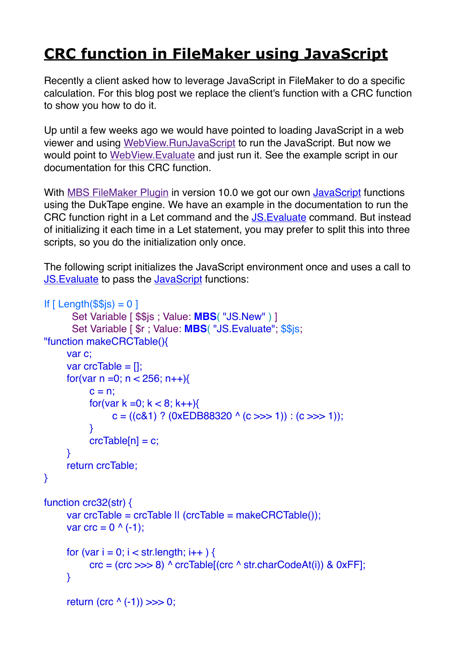## **[CRC function in FileMaker using JavaScript](https://www.mbs-plugins.com/archive/2020-01-15/CRC_function_in_FileMaker_usin/monkeybreadsoftware_blog_filemaker)**

Recently a client asked how to leverage JavaScript in FileMaker to do a specific calculation. For this blog post we replace the client's function with a CRC function to show you how to do it.

Up until a few weeks ago we would have pointed to loading JavaScript in a web viewer and using [WebView.RunJavaScript](https://www.mbsplugins.eu/WebViewRunJavaScript.shtml) to run the JavaScript. But now we would point to [WebView.Evaluate](https://www.mbsplugins.eu/WebViewEvaluate.shtml) and just run it. See the example script in our documentation for this CRC function.

With [MBS FileMaker Plugin](https://www.monkeybreadsoftware.com/filemaker/) in version 10.0 we got our own [JavaScript](https://www.mbsplugins.eu/component_JavaScript.shtml) functions using the DukTape engine. We have an example in the documentation to run the CRC function right in a Let command and the [JS.Evaluate](https://www.mbsplugins.eu/JSEvaluate.shtml) command. But instead of initializing it each time in a Let statement, you may prefer to split this into three scripts, so you do the initialization only once.

The following script initializes the JavaScript environment once and uses a call to [JS.Evaluate](https://www.mbsplugins.eu/JSEvaluate.shtml) to pass the [JavaScript](https://www.mbsplugins.eu/component_JavaScript.shtml) functions:

```
If [ Length(\$\$is) = 0]
       Set Variable [ $$js ; Value: MBS( "JS.New" ) ]
       Set Variable [ $r ; Value: MBS( "JS.Evaluate"; $$js;
"function makeCRCTable(){
      var c;
     var crcTable = [1]
     for(var n = 0; n < 256; n++){
           c = n:
           for(var k = 0; k < 8; k++){
                 c = ((c&1) ? (0xEDB88320 ^ (c >>> 1)) : (c >>> 1));
            }
           crcTable[n] = c;
      }
      return crcTable;
}
function crc32(str) {
     var crcTable = crcTable || (crcTable = makeCRCTable());
     var crc = 0^{\circ} (-1);
     for (var i = 0; i < str. length; i++) {
           \text{crc} = (\text{crc} >> 8) ^ crcTable<sup>[</sup>(crc ^ str.charCodeAt(i)) & 0xFF];
      }
     return (crc ( -1)) >>> 0;
```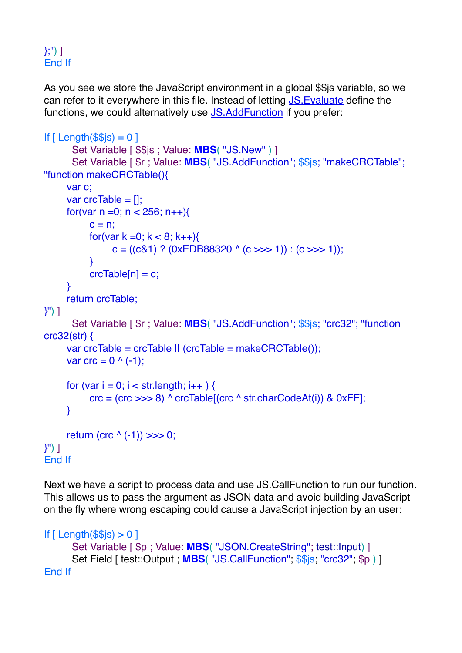## };") ] End If

As you see we store the JavaScript environment in a global \$\$js variable, so we can refer to it everywhere in this file. Instead of letting [JS.Evaluate](https://www.mbsplugins.eu/JSEvaluate.shtml) define the functions, we could alternatively use [JS.AddFunction](https://www.mbsplugins.eu/JSAddFunction.shtml) if you prefer:

```
If [ Length(\$\$\) = 0]Set Variable [ $$js ; Value: MBS( "JS.New" ) ]
       Set Variable [ $r ; Value: MBS( "JS.AddFunction"; $$js; "makeCRCTable"; 
"function makeCRCTable(){
       var c;
      var crcTable = [];
      for(var n = 0; n < 256; n + 1}
           c = n;
           for(var k = 0; k < 8; k++){
                 c = ((c81) ? (0xEDB88320 (c >> 1)) : (c >> 1);
            }
           crcTable[n] = c;
       }
       return crcTable;
}") ]
       Set Variable [ $r ; Value: MBS( "JS.AddFunction"; $$js; "crc32"; "function 
crc32(str) {
      var crcTable = crcTable || (crcTable = makeCRCTable());
      var \text{crc} = 0 \land (-1);
      for (var i = 0; i < str.length; i++) {
           \text{circ} = (\text{circ} \gg > 8) ^ \text{circTable}[(\text{circ} ^ \text{str.} \text{charCodeAt(i)}) & \text{0xFF}];
       }
      return (crc ( -1)) >>> 0;
}") ]
End If
```
Next we have a script to process data and use JS.CallFunction to run our function. This allows us to pass the argument as JSON data and avoid building JavaScript on the fly where wrong escaping could cause a JavaScript injection by an user:

```
If [ Length($s) > 0]Set Variable [ $p ; Value: MBS( "JSON.CreateString"; test::Input) ]
      Set Field [ test::Output ; MBS ( "JS.CallFunction"; $$js; "crc32"; $p ) ]
End If
```